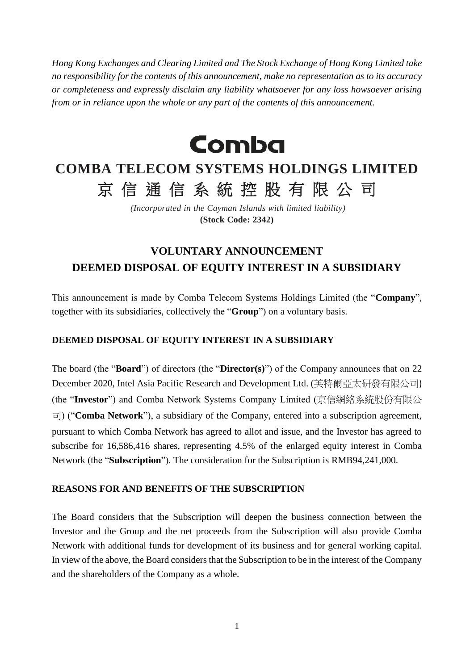*Hong Kong Exchanges and Clearing Limited and The Stock Exchange of Hong Kong Limited take no responsibility for the contents of this announcement, make no representation as to its accuracy or completeness and expressly disclaim any liability whatsoever for any loss howsoever arising from or in reliance upon the whole or any part of the contents of this announcement.*



# **COMBA TELECOM SYSTEMS HOLDINGS LIMITED** 京信通信系統控股有限公司

*(Incorporated in the Cayman Islands with limited liability)* **(Stock Code: 2342)**

# **VOLUNTARY ANNOUNCEMENT DEEMED DISPOSAL OF EQUITY INTEREST IN A SUBSIDIARY**

This announcement is made by Comba Telecom Systems Holdings Limited (the "**Company**", together with its subsidiaries, collectively the "**Group**") on a voluntary basis.

## **DEEMED DISPOSAL OF EQUITY INTEREST IN A SUBSIDIARY**

The board (the "**Board**") of directors (the "**Director(s)**") of the Company announces that on 22 December 2020, Intel Asia Pacific Research and Development Ltd. (英特爾亞太研發有限公司) (the "**Investor**") and Comba Network Systems Company Limited (京信網絡系統股份有限公 司) ("**Comba Network**"), a subsidiary of the Company, entered into a subscription agreement, pursuant to which Comba Network has agreed to allot and issue, and the Investor has agreed to subscribe for 16,586,416 shares, representing 4.5% of the enlarged equity interest in Comba Network (the "**Subscription**"). The consideration for the Subscription is RMB94,241,000.

#### **REASONS FOR AND BENEFITS OF THE SUBSCRIPTION**

The Board considers that the Subscription will deepen the business connection between the Investor and the Group and the net proceeds from the Subscription will also provide Comba Network with additional funds for development of its business and for general working capital. In view of the above, the Board considers that the Subscription to be in the interest of the Company and the shareholders of the Company as a whole.